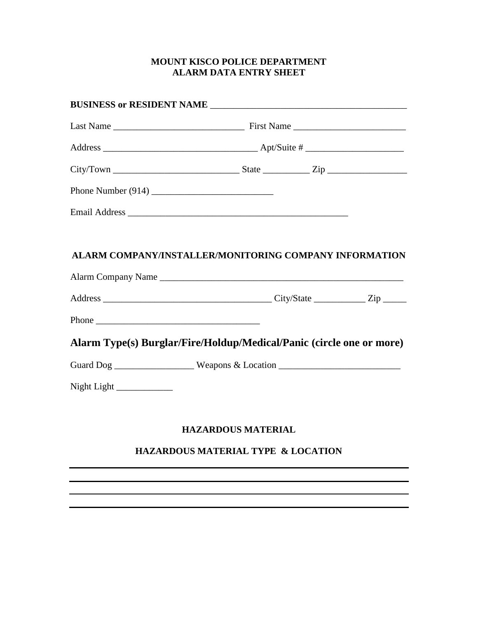## **MOUNT KISCO POLICE DEPARTMENT ALARM DATA ENTRY SHEET**

| $City/ Town$ $\_\_\_\_\_\_\_\_$ $State$ $\_\_\_\_\_$ $\_\_\_\_$                  |                                    |  |  |
|----------------------------------------------------------------------------------|------------------------------------|--|--|
|                                                                                  |                                    |  |  |
|                                                                                  |                                    |  |  |
|                                                                                  |                                    |  |  |
| ALARM COMPANY/INSTALLER/MONITORING COMPANY INFORMATION                           |                                    |  |  |
|                                                                                  |                                    |  |  |
|                                                                                  |                                    |  |  |
|                                                                                  |                                    |  |  |
| Alarm Type(s) Burglar/Fire/Holdup/Medical/Panic (circle one or more)             |                                    |  |  |
| Guard Dog ____________________ Weapons & Location ______________________________ |                                    |  |  |
| Night Light $\frac{1}{2}$                                                        |                                    |  |  |
|                                                                                  |                                    |  |  |
|                                                                                  | <b>HAZARDOUS MATERIAL</b>          |  |  |
|                                                                                  | HAZARDOUS MATERIAL TYPE & LOCATION |  |  |
|                                                                                  |                                    |  |  |
|                                                                                  |                                    |  |  |
|                                                                                  |                                    |  |  |